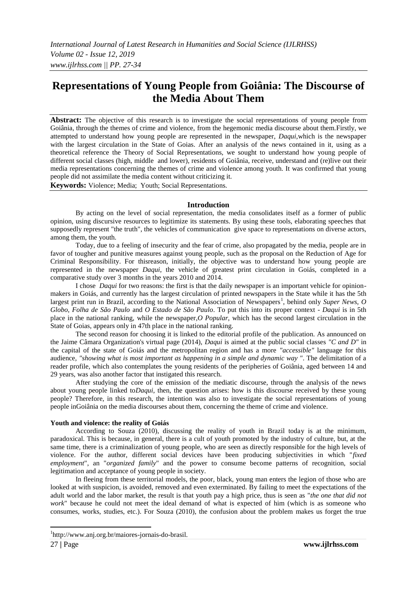# **Representations of Young People from Goiânia: The Discourse of the Media About Them**

**Abstract:** The objective of this research is to investigate the social representations of young people from Goiânia, through the themes of crime and violence, from the hegemonic media discourse about them.Firstly, we attempted to understand how young people are represented in the newspaper, *Daqui*,which is the newspaper with the largest circulation in the State of Goias. After an analysis of the news contained in it, using as a theoretical reference the Theory of Social Representations, we sought to understand how young people of different social classes (high, middle and lower), residents of Goiânia, receive, understand and (re)live out their media representations concerning the themes of crime and violence among youth. It was confirmed that young people did not assimilate the media content without criticizing it.

**Keywords:** Violence; Media; Youth; Social Representations.

#### **Introduction**

By acting on the level of social representation, the media consolidates itself as a former of public opinion, using discursive resources to legitimize its statements. By using these tools, elaborating speeches that supposedly represent "the truth", the vehicles of communication give space to representations on diverse actors, among them, the youth.

Today, due to a feeling of insecurity and the fear of crime, also propagated by the media, people are in favor of tougher and punitive measures against young people, such as the proposal on the Reduction of Age for Criminal Responsibility. For thisreason, initially, the objective was to understand how young people are represented in the newspaper *Daqui*, the vehicle of greatest print circulation in Goiás, completed in a comparative study over 3 months in the years 2010 and 2014.

I chose *Daqui* for two reasons: the first is that the daily newspaper is an important vehicle for opinionmakers in Goiás, and currently has the largest circulation of printed newspapers in the State while it has the 5th largest print run in Brazil, according to the National Association of Newspapers<sup>1</sup>, behind only Super News, O *Globo, Folha de São Paulo* and *O Estado de São Paulo*. To put this into its proper context - *Daqui* is in 5th place in the national ranking, while the newspaper,*O Popular*, which has the second largest circulation in the State of Goias, appears only in 47th place in the national ranking.

The second reason for choosing it is linked to the editorial profile of the publication. As announced on the Jaime Câmara Organization's virtual page (2014), *Daqui* is aimed at the public social classes *"C and D"* in the capital of the state of Goiás and the metropolitan region and has a more *"accessible"* language for this audience, *"showing what is most important as happening in a simple and dynamic way "*. The delimitation of a reader profile, which also contemplates the young residents of the peripheries of Goiânia, aged between 14 and 29 years, was also another factor that instigated this research.

After studying the core of the emission of the mediatic discourse, through the analysis of the news about young people linked to*Daqui*, then, the question arises: how is this discourse received by these young people? Therefore, in this research, the intention was also to investigate the social representations of young people inGoiânia on the media discourses about them, concerning the theme of crime and violence.

#### **Youth and violence: the reality of Goiás**

According to Souza (2010), discussing the reality of youth in Brazil today is at the minimum, paradoxical. This is because, in general, there is a cult of youth promoted by the industry of culture, but, at the same time, there is a criminalization of young people, who are seen as directly responsible for the high levels of violence. For the author, different social devices have been producing subjectivities in which "*fixed employment*", an "*organized family*" and the power to consume become patterns of recognition, social legitimation and acceptance of young people in society.

In fleeing from these territorial models, the poor, black, young man enters the legion of those who are looked at with suspicion, is avoided, removed and even exterminated. By failing to meet the expectations of the adult world and the labor market, the result is that youth pay a high price, thus is seen as "*the one that did not work*" because he could not meet the ideal demand of what is expected of him (which is as someone who consumes, works, studies, etc.). For Souza (2010), the confusion about the problem makes us forget the true

 $\overline{a}$ 

<sup>1</sup> http://www.anj.org.br/maiores-jornais-do-brasil.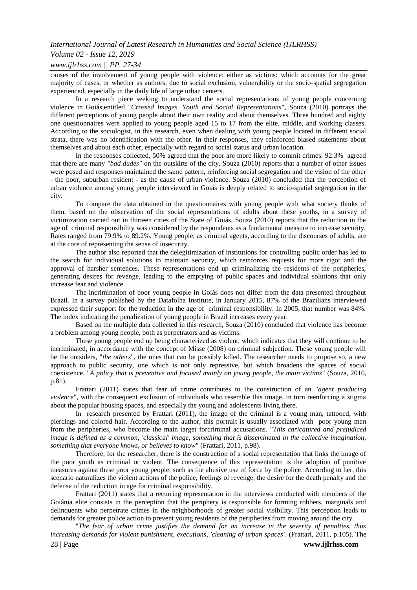#### *Volume 02 - Issue 12, 2019*

#### *www.ijlrhss.com || PP. 27-34*

causes of the involvement of young people with violence: either as victims: which accounts for the great majority of cases, or whether as authors, due to social exclusion, vulnerability or the socio-spatial segregation experienced, especially in the daily life of large urban centers.

In a research piece seeking to understand the social representations of young people concerning violence in Goiás,entitled "*Crossed Images. Youth and Social Representations*", Souza (2010) portrays the different perceptions of young people about their own reality and about themselves. Three hundred and eighty one questionnaires were applied to young people aged 15 to 17 from the elite, middle, and working classes. According to the sociologist, in this research, even when dealing with young people located in different social strata, there was no identification with the other. In their responses, they reinforced biased statements about themselves and about each other, especially with regard to social status and urban location.

In the responses collected, 50% agreed that the poor are more likely to commit crimes. 92.3% agreed that there are many *"bad dudes"* on the outskirts of the city. Souza (2010) reports that a number of other issues were posed and responses maintained the same pattern, reinforcing social segregation and the vision of the other - the poor, suburban resident - as the cause of urban violence. Souza (2010) concluded that the perception of urban violence among young people interviewed in Goiás is deeply related to socio-spatial segregation in the city.

To compare the data obtained in the questionnaires with young people with what society thinks of them, based on the observation of the social representations of adults about these youths, in a survey of victimization carried out in thirteen cities of the State of Goiás, Souza (2010) reports that the reduction in the age of criminal responsibility was considered by the respondents as a fundamental measure to increase security. Rates ranged from 79.9% to 89.2%. Young people, as criminal agents, according to the discourses of adults, are at the core of representing the sense of insecurity.

The author also reported that the delegitimization of institutions for controlling public order has led to the search for individual solutions to maintain security, which reinforces requests for more rigor and the approval of harsher sentences. These representations end up criminalizing the residents of the peripheries, generating desires for revenge, leading to the emptying of public spaces and individual solutions that only increase fear and violence.

The incrimination of poor young people in Goiás does not differ from the data presented throughout Brazil. In a survey published by the Datafolha Institute, in January 2015, 87% of the Brazilians interviewed expressed their support for the reduction in the age of criminal responsibility. In 2005, that number was 84%. The index indicating the penalization of young people in Brazil increases every year.

Based on the multiple data collected in this research, Souza (2010) concluded that violence has become a problem among young people, both as perpetrators and as victims.

These young people end up being characterized as violent, which indicates that they will continue to be incriminated, in accordance with the concept of Misse (2008) on criminal subjection. These young people will be the outsiders, "*the others*", the ones that can be possibly killed. The researcher needs to propose so, a new approach to public security, one which is not only repressive, but which broadens the spaces of social coexistence. "*A policy that is preventive and focused mainly on young people, the main victims*" (Souza, 2010, p.81).

Frattari (2011) states that fear of crime contributes to the construction of an "*agent producing violence*", with the consequent exclusion of individuals who resemble this image, in turn reenforcing a stigma about the popular housing spaces, and especially the young and adolescents living there.

In research presented by Frattari (2011), the image of the criminal is a young man, tattooed, with piercings and colored hair. According to the author, this portrait is usually associated with poor young men from the peripheries, who become the main target forcriminal accusations. "*This caricatured and prejudiced image is defined as a common, 'classical' image, something that is disseminated in the collective imagination, something that everyone knows, or believes to know*" (Frattari, 2011, p.98).

Therefore, for the researcher, there is the construction of a social representation that links the image of the poor youth as criminal or violent. The consequence of this representation is the adoption of punitive measures against these poor young people, such as the abusive use of force by the police. According to her, this scenario naturalizes the violent actions of the police, feelings of revenge, the desire for the death penalty and the defense of the reduction in age for criminal responsibility.

Frattari (2011) states that a recurring representation in the interviews conducted with members of the Goiânia elite consists in the perception that the periphery is responsible for forming robbers, marginals and delinquents who perpetrate crimes in the neighborhoods of greater social visibility. This perception leads to demands for greater police action to prevent young residents of the peripheries from moving around the city.

"*The fear of urban crime justifies the demand for an increase in the severity of penalties, thus increasing demands for violent punishment, executions, 'cleaning of urban spaces'.* (Frattari, 2011, p.105). The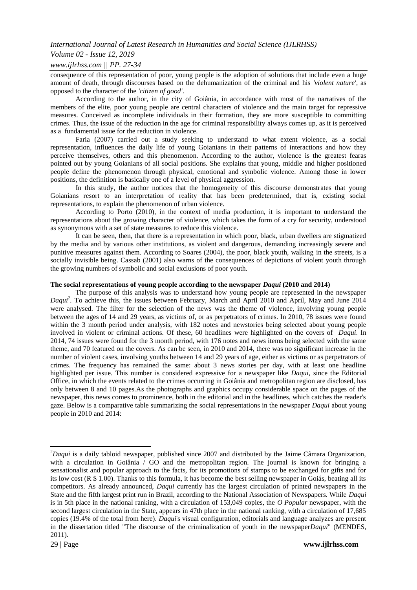### *Volume 02 - Issue 12, 2019*

#### *www.ijlrhss.com || PP. 27-34*

consequence of this representation of poor, young people is the adoption of solutions that include even a huge amount of death, through discourses based on the dehumanization of the criminal and his *'violent nature'*, as opposed to the character of the *'citizen of good'*.

According to the author, in the city of Goiânia, in accordance with most of the narratives of the members of the elite, poor young people are central characters of violence and the main target for repressive measures. Conceived as incomplete individuals in their formation, they are more susceptible to committing crimes. Thus, the issue of the reduction in the age for criminal responsibility always comes up, as it is perceived as a fundamental issue for the reduction in violence.

Faria (2007) carried out a study seeking to understand to what extent violence, as a social representation, influences the daily life of young Goianians in their patterns of interactions and how they perceive themselves, others and this phenomenon. According to the author, violence is the greatest fearas pointed out by young Goianians of all social positions. She explains that young, middle and higher positioned people define the phenomenon through physical, emotional and symbolic violence. Among those in lower positions, the definition is basically one of a level of physical aggression.

In this study, the author notices that the homogeneity of this discourse demonstrates that young Goianians resort to an interpretation of reality that has been predetermined, that is, existing social representations, to explain the phenomenon of urban violence.

According to Porto (2010), in the context of media production, it is important to understand the representations about the growing character of violence, which takes the form of a cry for security, understood as synonymous with a set of state measures to reduce this violence.

It can be seen, then, that there is a representation in which poor, black, urban dwellers are stigmatized by the media and by various other institutions, as violent and dangerous, demanding increasingly severe and punitive measures against them. According to Soares (2004), the poor, black youth, walking in the streets, is a socially invisible being. Cassab (2001) also warns of the consequences of depictions of violent youth through the growing numbers of symbolic and social exclusions of poor youth.

#### **The social representations of young people according to the newspaper** *Daqui* **(2010 and 2014)**

The purpose of this analysis was to understand how young people are represented in the newspaper *Daqui<sup>2</sup> .* To achieve this, the issues between February, March and April 2010 and April, May and June 2014 were analysed. The filter for the selection of the news was the theme of violence, involving young people between the ages of 14 and 29 years, as victims of, or as perpetrators of crimes. In 2010, 78 issues were found within the 3 month period under analysis, with 182 notes and newstories being selected about young people involved in violent or criminal actions. Of these, 60 headlines were highlighted on the covers of *Daqui*. In 2014, 74 issues were found for the 3 month period, with 176 notes and news items being selected with the same theme, and 70 featured on the covers. As can be seen, in 2010 and 2014, there was no significant increase in the number of violent cases, involving youths between 14 and 29 years of age, either as victims or as perpetrators of crimes. The frequency has remained the same: about 3 news stories per day, with at least one headline highlighted per issue. This number is considered expressive for a newspaper like *Daqui*, since the Editorial Office, in which the events related to the crimes occurring in Goiânia and metropolitan region are disclosed, has only between 8 and 10 pages.As the photographs and graphics occupy considerable space on the pages of the newspaper, this news comes to prominence, both in the editorial and in the headlines, which catches the reader's gaze. Below is a comparative table summarizing the social representations in the newspaper *Daqui* about young people in 2010 and 2014:

**<sup>.</sup>** <sup>2</sup>*Daqui* is a daily tabloid newspaper, published since 2007 and distributed by the Jaime Câmara Organization, with a circulation in Goiânia / GO and the metropolitan region. The journal is known for bringing a sensationalist and popular approach to the facts, for its promotions of stamps to be exchanged for gifts and for its low cost (R \$ 1.00). Thanks to this formula, it has become the best selling newspaper in Goiás, beating all its competitors. As already announced, *Daqui* currently has the largest circulation of printed newspapers in the State and the fifth largest print run in Brazil, according to the National Association of Newspapers. While *Daqui* is in 5th place in the national ranking, with a circulation of 153,049 copies, the *O Popular* newspaper, with the second largest circulation in the State, appears in 47th place in the national ranking, with a circulation of 17,685 copies (19.4% of the total from here). *Daqui*'s visual configuration, editorials and language analyzes are present in the dissertation titled "The discourse of the criminalization of youth in the newspaper*Daqui*" (MENDES, 2011).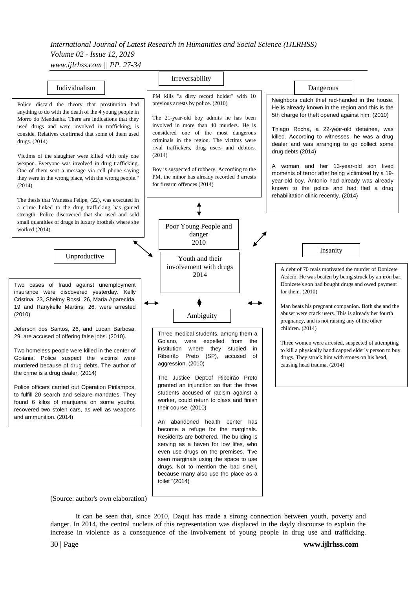## *International Journal of Latest Research in Humanities and Social Science (IJLRHSS) Volume 02 - Issue 12, 2019 www.ijlrhss.com || PP. 27-34*



It can be seen that, since 2010, Daqui has made a strong connection between youth, poverty and danger. In 2014, the central nucleus of this representation was displaced in the dayly discourse to explain the increase in violence as a consequence of the involvement of young people in drug use and trafficking.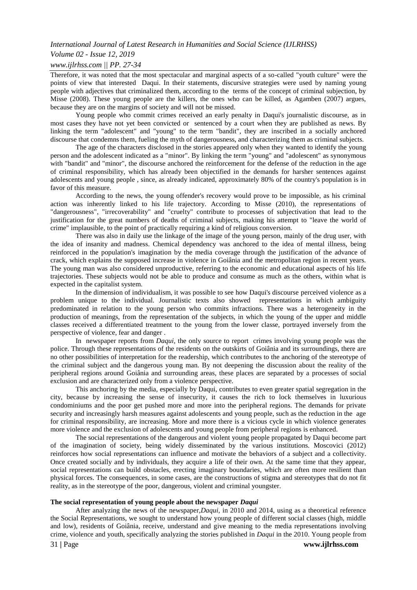#### *Volume 02 - Issue 12, 2019*

#### *www.ijlrhss.com || PP. 27-34*

Therefore, it was noted that the most spectacular and marginal aspects of a so-called "youth culture" were the points of view that interested Daqui. In their statements, discursive strategies were used by naming young people with adjectives that criminalized them, according to the terms of the concept of criminal subjection, by Misse (2008). These young people are the killers, the ones who can be killed, as Agamben (2007) argues, because they are on the margins of society and will not be missed.

Young people who commit crimes received an early penalty in Daqui's journalistic discourse, as in most cases they have not yet been convicted or sentenced by a court when they are published as news. By linking the term "adolescent" and "young" to the term "bandit", they are inscribed in a socially anchored discourse that condemns them, fueling the myth of dangerousness, and characterizing them as criminal subjects.

The age of the characters disclosed in the stories appeared only when they wanted to identify the young person and the adolescent indicated as a "minor". By linking the term "young" and "adolescent" as synonymous with "bandit" and "minor", the discourse anchored the reinforcement for the defense of the reduction in the age of criminal responsibility, which has already been objectified in the demands for harsher sentences against adolescents and young people , since, as already indicated, approximately 80% of the country's population is in favor of this measure.

According to the news, the young offender's recovery would prove to be impossible, as his criminal action was inherently linked to his life trajectory. According to Misse (2010), the representations of "dangerousness", "irrecoverability" and "cruelty" contribute to processes of subjectivation that lead to the justification for the great numbers of deaths of criminal subjects, making his attempt to "leave the world of crime" implausible, to the point of practically requiring a kind of religious conversion.

There was also in daily use the linkage of the image of the young person, mainly of the drug user, with the idea of insanity and madness. Chemical dependency was anchored to the idea of mental illness, being reinforced in the population's imagination by the media coverage through the justification of the advance of crack, which explains the supposed increase in violence in Goiânia and the metropolitan region in recent years. The young man was also considered unproductive, referring to the economic and educational aspects of his life trajectories. These subjects would not be able to produce and consume as much as the others, within what is expected in the capitalist system.

In the dimension of individualism, it was possible to see how Daqui's discourse perceived violence as a problem unique to the individual. Journalistic texts also showed representations in which ambiguity predominated in relation to the young person who commits infractions. There was a heterogeneity in the production of meanings, from the representation of the subjects, in which the young of the upper and middle classes received a differentiated treatment to the young from the lower classe, portrayed inversely from the perspective of violence, fear and danger .

In newspaper reports from *Daqui*, the only source to report crimes involving young people was the police. Through these representations of the residents on the outskirts of Goiânia and its surroundings, there are no other possibilities of interpretation for the readership, which contributes to the anchoring of the stereotype of the criminal subject and the dangerous young man. By not deepening the discussion about the reality of the peripheral regions around Goiânia and surrounding areas, these places are separated by a processes of social exclusion and are characterized only from a violence perspective.

This anchoring by the media, especially by Daqui, contributes to even greater spatial segregation in the city, because by increasing the sense of insecurity, it causes the rich to lock themselves in luxurious condominiums and the poor get pushed more and more into the peripheral regions. The demands for private security and increasingly harsh measures against adolescents and young people, such as the reduction in the age for criminal responsibility, are increasing. More and more there is a vicious cycle in which violence generates more violence and the exclusion of adolescents and young people from peripheral regions is enhanced.

The social representations of the dangerous and violent young people propagated by Daqui become part of the imagination of society, being widely disseminated by the various institutions. Moscovici (2012) reinforces how social representations can influence and motivate the behaviors of a subject and a collectivity. Once created socially and by individuals, they acquire a life of their own. At the same time that they appear, social representations can build obstacles, erecting imaginary boundaries, which are often more resilient than physical forces. The consequences, in some cases, are the constructions of stigma and stereotypes that do not fit reality, as in the stereotype of the poor, dangerous, violent and criminal youngster.

#### **The social representation of young people about the newspaper** *Daqui*

After analyzing the news of the newspaper,*Daqui*, in 2010 and 2014, using as a theoretical reference the Social Representations, we sought to understand how young people of different social classes (high, middle and low), residents of Goiânia, receive, understand and give meaning to the media representations involving crime, violence and youth, specifically analyzing the stories published in *Daqui* in the 2010. Young people from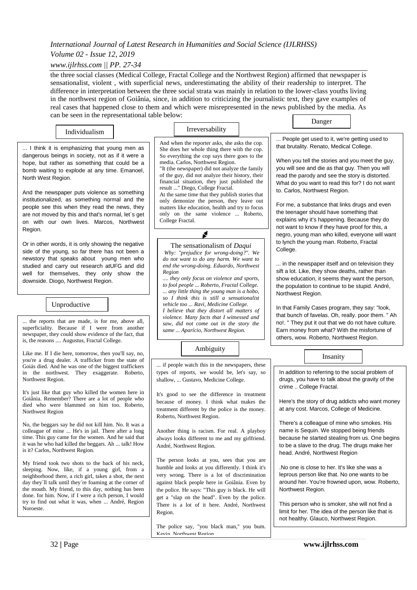## *Volume 02 - Issue 12, 2019*

*www.ijlrhss.com || PP. 27-34*

the three social classes (Medical College, Fractal College and the Northwest Region) affirmed that newspaper is sensationalist, violent , with superficial news, underestimating the ability of their readership to interpret. The difference in interpretation between the three social strata was mainly in relation to the lower-class youths living in the northwest region of Goiânia, since, in addition to criticizing the journalistic text, they gave examples of real cases that happened close to them and which were misrepresented in the news published by the media. As can be seen in the representational table below: Danger

Individualism  $\vert$  Irreversability

... I think it is emphasizing that young men as dangerous beings in society, not as if it were a hope, but rather as something that could be a bomb waiting to explode at any time. Emanoel, North West Region.

And the newspaper puts violence as something institutionalized, as something normal and the people see this when they read the news, they are not moved by this and that's normal, let´s get on with our own lives. Marcos, Northwest Region.

Or in other words, it is only showing the negative side of the young, so far there has not been a newstory that speaks about young men who studied and carry out research atUFG and did well for themselves, they only show the downside. Diogo, Northwest Region.

The question of the material is that the material

 $\big|$  Unproductive highlight is a matter of disposable facts.

... the reports that are made, is for me, above all, superficiality. Because if I were from another newspaper, they could show evidence of the fact, that is, the reasons .... Augustus, Fractal College.

Like me. If I die here, tomorrow, then you'll say, no, you're a drug dealer. A trafficker from the state of Goiás died. And he was one of the biggest traffickers in the northwest. They exaggerate. Roberto, Northwest Region.

It's just like that guy who killed the women here in Goiânia. Remember? There are a lot of people who died who were blammed on him too. Roberto, Northwest Region

No, the beggars say he did not kill him. No. It was a colleague of mine ... He's in jail. There after a long time. This guy came for the women. And he said that it was he who had killed the beggars. Ah ... talk! How is it? Carlos, Northwest Region.

My friend took two shots to the back of his neck, sleeping. Now, like, if a young girl, from a neighborhood there, a rich girl, takes a shot, the next day they´ll talk until they´re foaming at the corner of the mouth. My friend, to this day, nothing has been done. for him. Now, if I were a rich person, I would try to find out what it was, when ... André, Region Noroeste.

And when the reporter asks, she asks the cop. She does her whole thing there with the cop. So everything the cop says there goes to the media. Carlos, Northwest Region.

"It (the newspaper) did not analyze the family of the guy, did not analyze their history, their financial situation, they just published the result ..." Diego, College Fractal.

At the same time that they publish stories that only demonize the person, they leave out matters like education, health and try to focus. only on the same violence ... Roberto, College Fractal.

◢

The sensationalism of *Daqui Why: "prejudice for wrong-doing?". We do not want to do any harm. We want to end the wrong-doing. Eduardo, Northwest Region*

*.... they only focus on violence and sports, to fool people ... Roberto, Fractal College. ... any little thing the young man is a hobo, so I think this is still a sensationalist vehicle too ... Ravi, Medicine College. I believe that they distort all matters of violence. Many facts that I witnessed and saw, did not come out in the story the same ... Aparício, Northwest Region.*

Ambiguity

... if people watch this in the newspapers, these types of reports, we would be, let's say, so shallow, ... Gustavo, Medicine College.

It's good to see the difference in treatment because of money. I think what makes the treatment different by the police is the money. Roberto, Northwest Region.

Another thing is racism. For real. A playboy always looks different to me and my girlfriend. André, Northwest Region.

The person looks at you, sees that you are humble and looks at you differently. I think it's very wrong. There is a lot of discrimination against black people here in Goiânia. Even by the police. He says: "This guy is black. He will get a "slap on the head". Even by the police. There is a lot of it here. André, Northwest Region.

The police say, "you black man," you bum. Kevin, Northwest Region.

... People get used to it, we're getting used to that brutality. Renato, Medical College.

When you tell the stories and you meet the guy, you will see and die as that guy. Then you will read the parody and see the story is distorted. What do you want to read this for? I do not want to. Carlos, Northwest Region.

For me, a substance that links drugs and even the teenager should have something that explains why it's happening. Because they do not want to know if they have proof for this, a negro, young man who killed, everyone will want to lynch the young man. Roberto, Fractal College.

... in the newspaper itself and on television they sift a lot. Like, they show deaths, rather than show education, it seems they want the person, the population to continue to be stupid. André, Northwest Region.

In that Family Cases program, they say: "look, that bunch of favelas. Oh, really. poor them. " Ah no!. " They put it out that we do not have culture. Earn money from what? With the misfortune of others, wow. Roberto, Northwest Region.

In addition to referring to the social problem of drugs, you have to talk about the gravity of the crime .. College Fractal.

Insanity

Here's the story of drug addicts who want money at any cost. Marcos, College of Medicine.

There's a colleague of mine who smokes. His name is Sequin. We stopped being friends because he started stealing from us. One begins to be a slave to the drug. The drugs make her head. André, Northwest Region

.No one is close to her. It's like she was a leprous person like that. No one wants to be around her. You're frowned upon, wow. Roberto, Northwest Region.

This person who is smoker, she will not find a limit for her. The idea of the person like that is not healthy. Glauco, Northwest Region.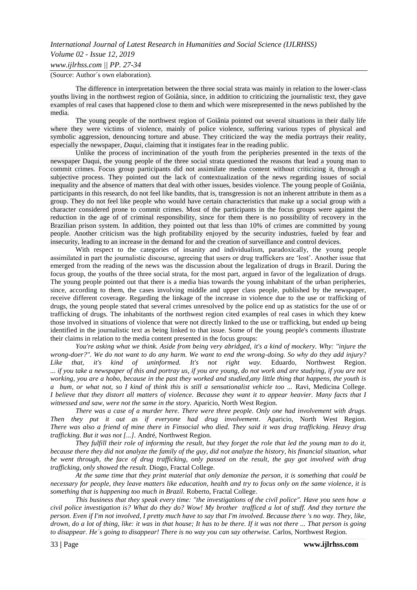## *International Journal of Latest Research in Humanities and Social Science (IJLRHSS) Volume 02 - Issue 12, 2019 www.ijlrhss.com || PP. 27-34*

(Source: Author´s own elaboration).

The difference in interpretation between the three social strata was mainly in relation to the lower-class youths living in the northwest region of Goiânia, since, in addition to criticizing the journalistic text, they gave examples of real cases that happened close to them and which were misrepresented in the news published by the media.

The young people of the northwest region of Goiânia pointed out several situations in their daily life where they were victims of violence, mainly of police violence, suffering various types of physical and symbolic aggression, denouncing torture and abuse. They criticized the way the media portrays their reality, especially the newspaper, *Daqui*, claiming that it instigates fear in the reading public.

Unlike the process of incrimination of the youth from the peripheries presented in the texts of the newspaper Daqui, the young people of the three social strata questioned the reasons that lead a young man to commit crimes. Focus group participants did not assimilate media content without criticizing it, through a subjective process. They pointed out the lack of contextualization of the news regarding issues of social inequality and the absence of matters that deal with other issues, besides violence. The young people of Goiânia, participants in this research, do not feel like bandits, that is, transgression is not an inherent attribute in them as a group. They do not feel like people who would have certain characteristics that make up a social group with a character considered prone to commit crimes. Most of the participants in the focus groups were against the reduction in the age of of criminal responsibility, since for them there is no possibility of recovery in the Brazilian prison system. In addition, they pointed out that less than 10% of crimes are committed by young people. Another criticism was the high profitability enjoyed by the security industries, fueled by fear and insecurity, leading to an increase in the demand for and the creation of surveillance and control devices.

With respect to the categories of insanity and individualism, paradoxically, the young people assimilated in part the journalistic discourse, agreeing that users or drug traffickers are "lost". Another issue that emerged from the reading of the news was the discussion about the legalization of drugs in Brazil. During the focus group, the youths of the three social strata, for the most part, argued in favor of the legalization of drugs. The young people pointed out that there is a media bias towards the young inhabitant of the urban peripheries, since, according to them, the cases involving middle and upper class people, published by the newspaper, receive different coverage. Regarding the linkage of the increase in violence due to the use or trafficking of drugs, the young people stated that several crimes unresolved by the police end up as statistics for the use of or trafficking of drugs. The inhabitants of the northwest region cited examples of real cases in which they knew those involved in situations of violence that were not directly linked to the use or trafficking, but ended up being identified in the journalistic text as being linked to that issue. Some of the young people's comments illustrate their claims in relation to the media content presented in the focus groups:

*You're asking what we think. Aside from being very abridged, it's a kind of mockery. Why: "injure the wrong-doer?". We do not want to do any harm. We want to end the wrong-doing. So why do they add injury? Like that, it's kind of uninformed. It's not right way.* Eduardo, Northwest Region. *... if you take a newspaper of this and portray us, if you are young, do not work and are studying, if you are not working, you are a hobo, because in the past they worked and studied,any little thing that happens, the youth is a bum, or what not, so I kind of think this is still a sensationalist vehicle too ...* Ravi, Medicina College. *I believe that they distort all matters of violence. Because they want it to appear heavier. Many facts that I*  witnessed and saw, were not the same in the story. Aparicio, North West Region.

*There was a case of a murder here. There were three people. Only one had involvement with drugs. Then they put it out as if everyone had drug involvement*. Aparicio, North West Region. *There was also a friend of mine there in Finsocial who died. They said it was drug trafficking. Heavy drug trafficking. But it was not [...].* André, Northwest Region.

*They fulfill their role of informing the result, but they forget the role that led the young man to do it, because there they did not analyze the family of the guy, did not analyze the history, his financial situation, what he went through, the face of drug trafficking, only passed on the result, the guy got involved with drug trafficking, only showed the result.* Diogo, Fractal College.

*At the same time that they print material that only demonize the person, it is something that could be necessary for people, they leave matters like education, health and try to focus only on the same violence, it is something that is happening too much in Brazil.* Roberto, Fractal College.

*This business that they speak every time: "the investigations of the civil police". Have you seen how a civil police investigation is? What do they do? Wow! My brother trafficed a lot of stuff. And they torture the person. Even if I'm not involved, I pretty much have to say that I'm involved. Because there 's no way. They, like, drown, do a lot of thing, like: it was* in *that house; It has to be there. If it was not there ... That person is going to disappear. He´s going to disappear! There is no way you can say otherwise.* Carlos, Northwest Region.